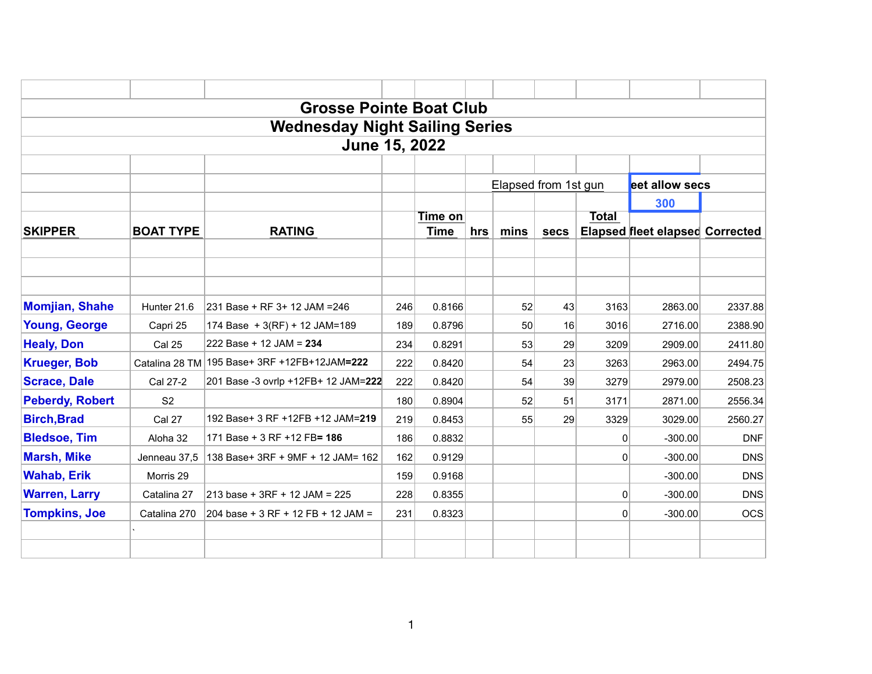|                        |                  | <b>Grosse Pointe Boat Club</b>               |     |                |     |                      |             |              |                                        |            |
|------------------------|------------------|----------------------------------------------|-----|----------------|-----|----------------------|-------------|--------------|----------------------------------------|------------|
|                        |                  | <b>Wednesday Night Sailing Series</b>        |     |                |     |                      |             |              |                                        |            |
|                        |                  | <b>June 15, 2022</b>                         |     |                |     |                      |             |              |                                        |            |
|                        |                  |                                              |     |                |     |                      |             |              |                                        |            |
|                        |                  |                                              |     |                |     | Elapsed from 1st gun |             |              | eet allow secs                         |            |
|                        |                  |                                              |     |                |     |                      |             |              | 300                                    |            |
|                        |                  |                                              |     | <b>Time on</b> |     |                      |             | <b>Total</b> |                                        |            |
| <b>SKIPPER</b>         | <b>BOAT TYPE</b> | <b>RATING</b>                                |     | <b>Time</b>    | hrs | mins                 | <b>secs</b> |              | <b>Elapsed fleet elapsed Corrected</b> |            |
|                        |                  |                                              |     |                |     |                      |             |              |                                        |            |
|                        |                  |                                              |     |                |     |                      |             |              |                                        |            |
|                        |                  |                                              |     |                |     |                      |             |              |                                        |            |
| <b>Momjian, Shahe</b>  | Hunter 21.6      | 231 Base + RF 3+ 12 JAM = 246                | 246 | 0.8166         |     | 52                   | 43          | 3163         | 2863.00                                | 2337.88    |
| <b>Young, George</b>   | Capri 25         | 174 Base + 3(RF) + 12 JAM=189                | 189 | 0.8796         |     | 50                   | 16          | 3016         | 2716.00                                | 2388.90    |
| <b>Healy, Don</b>      | <b>Cal 25</b>    | 222 Base + 12 JAM = 234                      | 234 | 0.8291         |     | 53                   | 29          | 3209         | 2909.00                                | 2411.80    |
| <b>Krueger, Bob</b>    |                  | Catalina 28 TM 195 Base+ 3RF +12FB+12JAM=222 | 222 | 0.8420         |     | 54                   | 23          | 3263         | 2963.00                                | 2494.75    |
| <b>Scrace, Dale</b>    | Cal 27-2         | 201 Base -3 ovrlp +12FB+ 12 JAM=222          | 222 | 0.8420         |     | 54                   | 39          | 3279         | 2979.00                                | 2508.23    |
| <b>Peberdy, Robert</b> | S <sub>2</sub>   |                                              | 180 | 0.8904         |     | 52                   | 51          | 3171         | 2871.00                                | 2556.34    |
| <b>Birch, Brad</b>     | Cal 27           | 192 Base+ 3 RF +12FB +12 JAM=219             | 219 | 0.8453         |     | 55                   | 29          | 3329         | 3029.00                                | 2560.27    |
| <b>Bledsoe, Tim</b>    | Aloha 32         | 171 Base + 3 RF + 12 FB= 186                 | 186 | 0.8832         |     |                      |             | 0            | $-300.00$                              | <b>DNF</b> |
| <b>Marsh, Mike</b>     | Jenneau 37,5     | 138 Base+ 3RF + 9MF + 12 JAM= 162            | 162 | 0.9129         |     |                      |             | $\mathbf{0}$ | $-300.00$                              | <b>DNS</b> |
| <b>Wahab, Erik</b>     | Morris 29        |                                              | 159 | 0.9168         |     |                      |             |              | $-300.00$                              | <b>DNS</b> |
| <b>Warren, Larry</b>   | Catalina 27      | 213 base + 3RF + 12 JAM = 225                | 228 | 0.8355         |     |                      |             | $\mathbf{0}$ | $-300.00$                              | <b>DNS</b> |
| <b>Tompkins, Joe</b>   | Catalina 270     | 204 base + 3 RF + 12 FB + 12 JAM =           | 231 | 0.8323         |     |                      |             | $\mathbf{0}$ | $-300.00$                              | <b>OCS</b> |
|                        |                  |                                              |     |                |     |                      |             |              |                                        |            |
|                        |                  |                                              |     |                |     |                      |             |              |                                        |            |